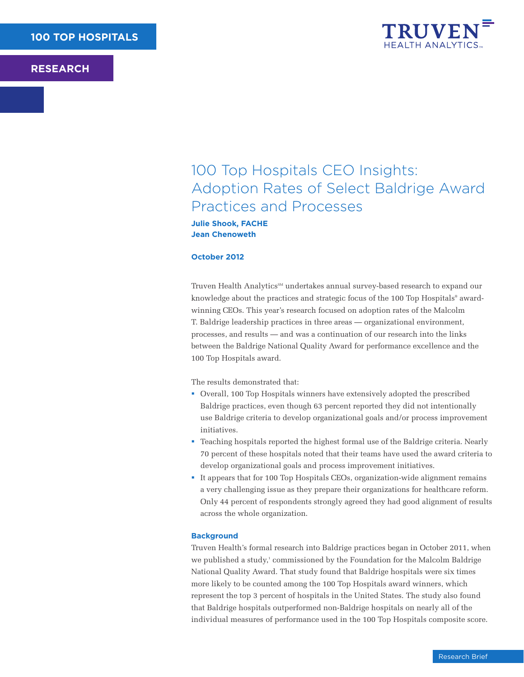

# 100 Top Hospitals CEO Insights: Adoption Rates of Select Baldrige Award Practices and Processes

**Julie Shook, FACHE Jean Chenoweth**

#### **October 2012**

Truven Health Analytics<sup>SM</sup> undertakes annual survey-based research to expand our knowledge about the practices and strategic focus of the 100 Top Hospitals® awardwinning CEOs. This year's research focused on adoption rates of the Malcolm T. Baldrige leadership practices in three areas — organizational environment, processes, and results — and was a continuation of our research into the links between the Baldrige National Quality Award for performance excellence and the 100 Top Hospitals award.

The results demonstrated that:

- § Overall, 100 Top Hospitals winners have extensively adopted the prescribed Baldrige practices, even though 63 percent reported they did not intentionally use Baldrige criteria to develop organizational goals and/or process improvement initiatives.
- § Teaching hospitals reported the highest formal use of the Baldrige criteria. Nearly 70 percent of these hospitals noted that their teams have used the award criteria to develop organizational goals and process improvement initiatives.
- § It appears that for 100 Top Hospitals CEOs, organization-wide alignment remains a very challenging issue as they prepare their organizations for healthcare reform. Only 44 percent of respondents strongly agreed they had good alignment of results across the whole organization.

#### **Background**

Truven Health's formal research into Baldrige practices began in October 2011, when we published a study,<sup>1</sup> commissioned by the Foundation for the Malcolm Baldrige National Quality Award. That study found that Baldrige hospitals were six times more likely to be counted among the 100 Top Hospitals award winners, which represent the top 3 percent of hospitals in the United States. The study also found that Baldrige hospitals outperformed non-Baldrige hospitals on nearly all of the individual measures of performance used in the 100 Top Hospitals composite score.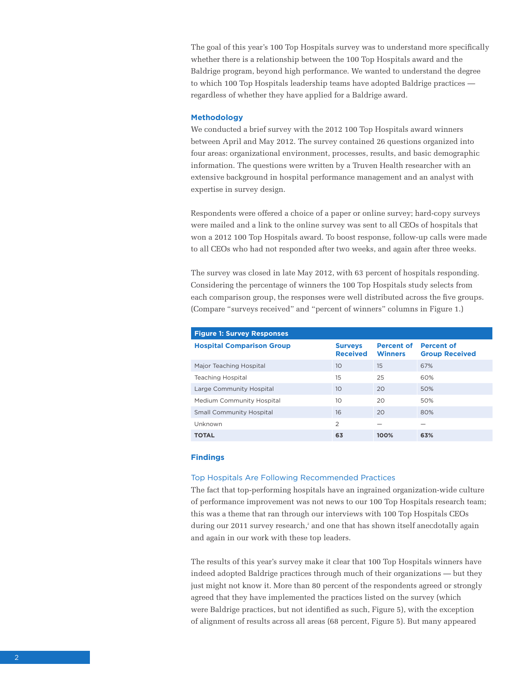The goal of this year's 100 Top Hospitals survey was to understand more specifically whether there is a relationship between the 100 Top Hospitals award and the Baldrige program, beyond high performance. We wanted to understand the degree to which 100 Top Hospitals leadership teams have adopted Baldrige practices regardless of whether they have applied for a Baldrige award.

#### **Methodology**

We conducted a brief survey with the 2012 100 Top Hospitals award winners between April and May 2012. The survey contained 26 questions organized into four areas: organizational environment, processes, results, and basic demographic information. The questions were written by a Truven Health researcher with an extensive background in hospital performance management and an analyst with expertise in survey design.

Respondents were offered a choice of a paper or online survey; hard-copy surveys were mailed and a link to the online survey was sent to all CEOs of hospitals that won a 2012 100 Top Hospitals award. To boost response, follow-up calls were made to all CEOs who had not responded after two weeks, and again after three weeks.

The survey was closed in late May 2012, with 63 percent of hospitals responding. Considering the percentage of winners the 100 Top Hospitals study selects from each comparison group, the responses were well distributed across the five groups. (Compare "surveys received" and "percent of winners" columns in Figure 1.)

| <b>Figure 1: Survey Responses</b> |                                   |                                     |                                            |  |  |  |  |  |  |
|-----------------------------------|-----------------------------------|-------------------------------------|--------------------------------------------|--|--|--|--|--|--|
| <b>Hospital Comparison Group</b>  | <b>Surveys</b><br><b>Received</b> | <b>Percent of</b><br><b>Winners</b> | <b>Percent of</b><br><b>Group Received</b> |  |  |  |  |  |  |
| Major Teaching Hospital           | 10                                | 15                                  | 67%                                        |  |  |  |  |  |  |
| Teaching Hospital                 | 15                                | 25                                  | 60%                                        |  |  |  |  |  |  |
| Large Community Hospital          | 10                                | 20                                  | 50%                                        |  |  |  |  |  |  |
| Medium Community Hospital         | 10                                | 20                                  | 50%                                        |  |  |  |  |  |  |
| <b>Small Community Hospital</b>   | 16                                | 20                                  | 80%                                        |  |  |  |  |  |  |
| Unknown                           | $\overline{2}$                    |                                     |                                            |  |  |  |  |  |  |
| <b>TOTAL</b>                      | 63                                | 100%                                | 63%                                        |  |  |  |  |  |  |

#### **Findings**

#### Top Hospitals Are Following Recommended Practices

The fact that top-performing hospitals have an ingrained organization-wide culture of performance improvement was not news to our 100 Top Hospitals research team; this was a theme that ran through our interviews with 100 Top Hospitals CEOs during our 2011 survey research,<sup>2</sup> and one that has shown itself anecdotally again and again in our work with these top leaders.

The results of this year's survey make it clear that 100 Top Hospitals winners have indeed adopted Baldrige practices through much of their organizations — but they just might not know it. More than 80 percent of the respondents agreed or strongly agreed that they have implemented the practices listed on the survey (which were Baldrige practices, but not identified as such, Figure 5), with the exception of alignment of results across all areas (68 percent, Figure 5). But many appeared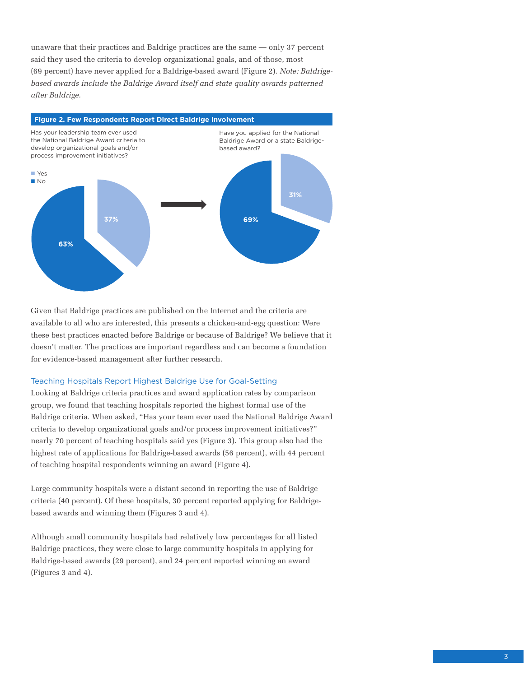unaware that their practices and Baldrige practices are the same — only 37 percent said they used the criteria to develop organizational goals, and of those, most (69 percent) have never applied for a Baldrige-based award (Figure 2). *Note: Baldrigebased awards include the Baldrige Award itself and state quality awards patterned after Baldrige.* 



Given that Baldrige practices are published on the Internet and the criteria are available to all who are interested, this presents a chicken-and-egg question: Were these best practices enacted before Baldrige or because of Baldrige? We believe that it doesn't matter. The practices are important regardless and can become a foundation for evidence-based management after further research.

## Teaching Hospitals Report Highest Baldrige Use for Goal-Setting

Looking at Baldrige criteria practices and award application rates by comparison group, we found that teaching hospitals reported the highest formal use of the Baldrige criteria. When asked, "Has your team ever used the National Baldrige Award criteria to develop organizational goals and/or process improvement initiatives?" nearly 70 percent of teaching hospitals said yes (Figure 3). This group also had the highest rate of applications for Baldrige-based awards (56 percent), with 44 percent of teaching hospital respondents winning an award (Figure 4).

Large community hospitals were a distant second in reporting the use of Baldrige criteria (40 percent). Of these hospitals, 30 percent reported applying for Baldrigebased awards and winning them (Figures 3 and 4).

Although small community hospitals had relatively low percentages for all listed Baldrige practices, they were close to large community hospitals in applying for Baldrige-based awards (29 percent), and 24 percent reported winning an award (Figures 3 and 4).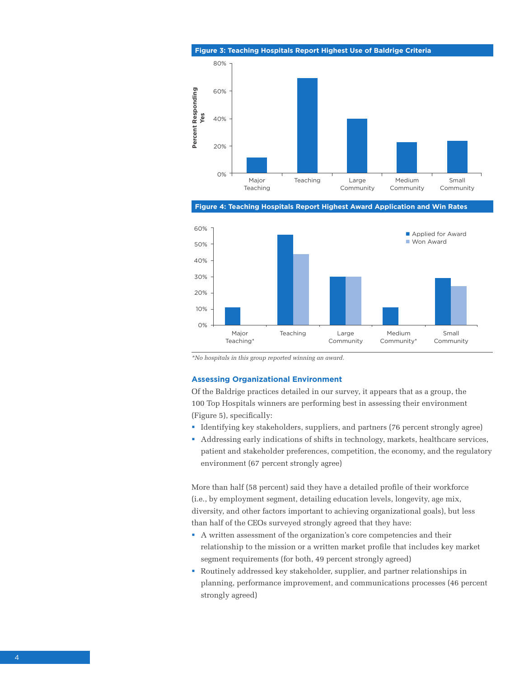

**Figure 4: Teaching Hospitals Report Highest Award Application and Win Rates**



*\*No hospitals in this group reported winning an award.*

#### **Assessing Organizational Environment**

Of the Baldrige practices detailed in our survey, it appears that as a group, the 100 Top Hospitals winners are performing best in assessing their environment (Figure 5), specifically:

- § Identifying key stakeholders, suppliers, and partners (76 percent strongly agree)
- § Addressing early indications of shifts in technology, markets, healthcare services, patient and stakeholder preferences, competition, the economy, and the regulatory environment (67 percent strongly agree)

More than half (58 percent) said they have a detailed profile of their workforce (i.e., by employment segment, detailing education levels, longevity, age mix, diversity, and other factors important to achieving organizational goals), but less than half of the CEOs surveyed strongly agreed that they have:

- § A written assessment of the organization's core competencies and their relationship to the mission or a written market profile that includes key market segment requirements (for both, 49 percent strongly agreed)
- § Routinely addressed key stakeholder, supplier, and partner relationships in planning, performance improvement, and communications processes (46 percent strongly agreed)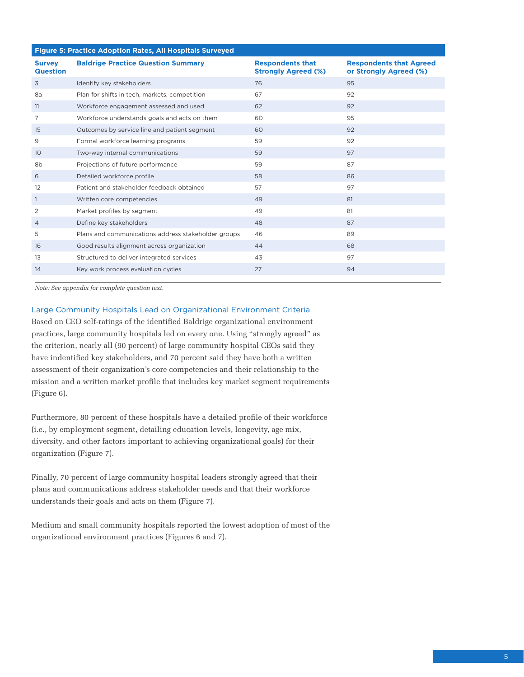| <b>Figure 5: Practice Adoption Rates, All Hospitals Surveyed</b> |                                                     |                                                       |                                                          |  |  |  |  |  |  |
|------------------------------------------------------------------|-----------------------------------------------------|-------------------------------------------------------|----------------------------------------------------------|--|--|--|--|--|--|
| <b>Survey</b><br><b>Question</b>                                 | <b>Baldrige Practice Question Summary</b>           | <b>Respondents that</b><br><b>Strongly Agreed (%)</b> | <b>Respondents that Agreed</b><br>or Strongly Agreed (%) |  |  |  |  |  |  |
| 3                                                                | Identify key stakeholders                           | 76                                                    | 95                                                       |  |  |  |  |  |  |
| 8a                                                               | Plan for shifts in tech, markets, competition       | 67                                                    | 92                                                       |  |  |  |  |  |  |
| 11                                                               | Workforce engagement assessed and used              | 62                                                    | 92                                                       |  |  |  |  |  |  |
| 7                                                                | Workforce understands goals and acts on them        | 60                                                    | 95                                                       |  |  |  |  |  |  |
| 15                                                               | Outcomes by service line and patient segment        | 60                                                    | 92                                                       |  |  |  |  |  |  |
| 9                                                                | Formal workforce learning programs                  | 59                                                    | 92                                                       |  |  |  |  |  |  |
| 10 <sup>°</sup>                                                  | Two-way internal communications                     | 59                                                    | 97                                                       |  |  |  |  |  |  |
| 8b                                                               | Projections of future performance                   | 59                                                    | 87                                                       |  |  |  |  |  |  |
| 6                                                                | Detailed workforce profile                          | 58                                                    | 86                                                       |  |  |  |  |  |  |
| 12                                                               | Patient and stakeholder feedback obtained           | 57                                                    | 97                                                       |  |  |  |  |  |  |
| $\mathbf{1}$                                                     | Written core competencies                           | 49                                                    | 81                                                       |  |  |  |  |  |  |
| 2                                                                | Market profiles by segment                          | 49                                                    | 81                                                       |  |  |  |  |  |  |
| $\overline{4}$                                                   | Define key stakeholders                             | 48                                                    | 87                                                       |  |  |  |  |  |  |
| 5                                                                | Plans and communications address stakeholder groups | 46                                                    | 89                                                       |  |  |  |  |  |  |
| 16                                                               | Good results alignment across organization          | 44                                                    | 68                                                       |  |  |  |  |  |  |
| 13                                                               | Structured to deliver integrated services           | 43                                                    | 97                                                       |  |  |  |  |  |  |
| 14                                                               | Key work process evaluation cycles                  | 27                                                    | 94                                                       |  |  |  |  |  |  |
|                                                                  |                                                     |                                                       |                                                          |  |  |  |  |  |  |

*Note: See appendix for complete question text.*

### Large Community Hospitals Lead on Organizational Environment Criteria

Based on CEO self-ratings of the identified Baldrige organizational environment practices, large community hospitals led on every one. Using "strongly agreed" as the criterion, nearly all (90 percent) of large community hospital CEOs said they have indentified key stakeholders, and 70 percent said they have both a written assessment of their organization's core competencies and their relationship to the mission and a written market profile that includes key market segment requirements (Figure 6).

Furthermore, 80 percent of these hospitals have a detailed profile of their workforce (i.e., by employment segment, detailing education levels, longevity, age mix, diversity, and other factors important to achieving organizational goals) for their organization (Figure 7).

Finally, 70 percent of large community hospital leaders strongly agreed that their plans and communications address stakeholder needs and that their workforce understands their goals and acts on them (Figure 7).

Medium and small community hospitals reported the lowest adoption of most of the organizational environment practices (Figures 6 and 7).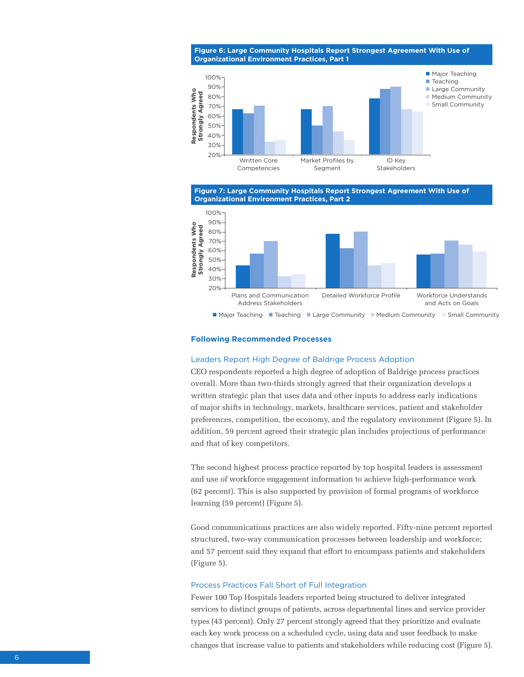**Figure 6: Large Community Hospitals Report Strongest Agreement With Use of Organizational Environment Practices, Part 1** 



**Figure 7: Large Community Hospitals Report Strongest Agreement With Use of Organizational Environment Practices, Part 2**



#### **Following Recommended Processes**

#### Leaders Report High Degree of Baldrige Process Adoption

CEO respondents reported a high degree of adoption of Baldrige process practices overall. More than two-thirds strongly agreed that their organization develops a written strategic plan that uses data and other inputs to address early indications of major shifts in technology, markets, healthcare services, patient and stakeholder preferences, competition, the economy, and the regulatory environment (Figure 5). In addition, 59 percent agreed their strategic plan includes projections of performance and that of key competitors.

The second highest process practice reported by top hospital leaders is assessment and use of workforce engagement information to achieve high-performance work (62 percent). This is also supported by provision of formal programs of workforce learning (59 percent) (Figure 5).

Good communications practices are also widely reported. Fifty-nine percent reported structured, two-way communication processes between leadership and workforce; and 57 percent said they expand that effort to encompass patients and stakeholders (Figure 5).

#### Process Practices Fall Short of Full Integration

Fewer 100 Top Hospitals leaders reported being structured to deliver integrated services to distinct groups of patients, across departmental lines and service provider types (43 percent). Only 27 percent strongly agreed that they prioritize and evaluate each key work process on a scheduled cycle, using data and user feedback to make changes that increase value to patients and stakeholders while reducing cost (Figure 5).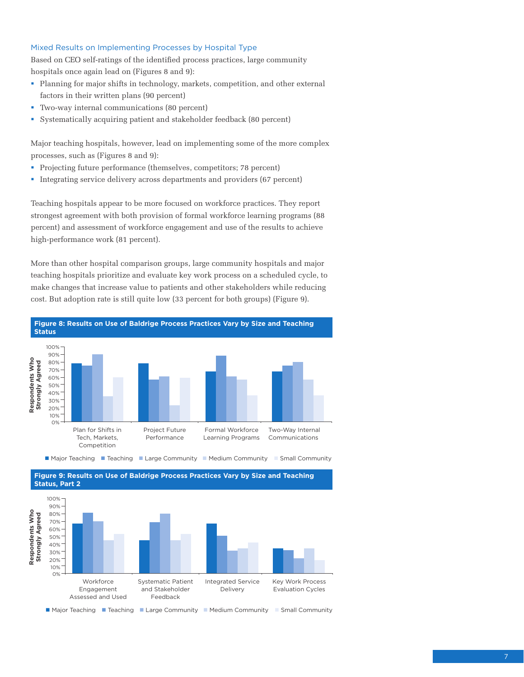# Mixed Results on Implementing Processes by Hospital Type

Based on CEO self-ratings of the identified process practices, large community hospitals once again lead on (Figures 8 and 9):

- Planning for major shifts in technology, markets, competition, and other external factors in their written plans (90 percent)
- § Two-way internal communications (80 percent)
- § Systematically acquiring patient and stakeholder feedback (80 percent)

Major teaching hospitals, however, lead on implementing some of the more complex processes, such as (Figures 8 and 9):

- Projecting future performance (themselves, competitors; 78 percent)
- § Integrating service delivery across departments and providers (67 percent)

Teaching hospitals appear to be more focused on workforce practices. They report strongest agreement with both provision of formal workforce learning programs (88 percent) and assessment of workforce engagement and use of the results to achieve high-performance work (81 percent).

More than other hospital comparison groups, large community hospitals and major teaching hospitals prioritize and evaluate key work process on a scheduled cycle, to make changes that increase value to patients and other stakeholders while reducing cost. But adoption rate is still quite low (33 percent for both groups) (Figure 9).







n Major Teaching n Teaching n Large Community n Medium Community n Small Community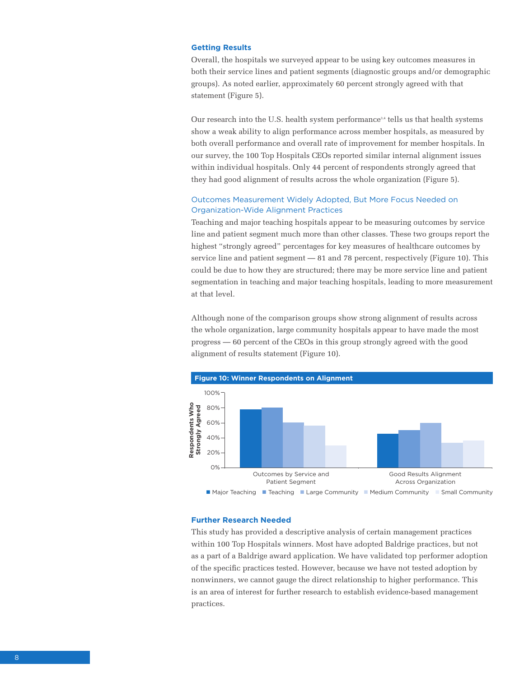## **Getting Results**

Overall, the hospitals we surveyed appear to be using key outcomes measures in both their service lines and patient segments (diagnostic groups and/or demographic groups). As noted earlier, approximately 60 percent strongly agreed with that statement (Figure 5).

Our research into the U.S. health system performance<sup>3,4</sup> tells us that health systems show a weak ability to align performance across member hospitals, as measured by both overall performance and overall rate of improvement for member hospitals. In our survey, the 100 Top Hospitals CEOs reported similar internal alignment issues within individual hospitals. Only 44 percent of respondents strongly agreed that they had good alignment of results across the whole organization (Figure 5).

# Outcomes Measurement Widely Adopted, But More Focus Needed on Organization-Wide Alignment Practices

Teaching and major teaching hospitals appear to be measuring outcomes by service line and patient segment much more than other classes. These two groups report the highest "strongly agreed" percentages for key measures of healthcare outcomes by service line and patient segment — 81 and 78 percent, respectively (Figure 10). This could be due to how they are structured; there may be more service line and patient segmentation in teaching and major teaching hospitals, leading to more measurement at that level.

Although none of the comparison groups show strong alignment of results across the whole organization, large community hospitals appear to have made the most progress — 60 percent of the CEOs in this group strongly agreed with the good alignment of results statement (Figure 10).



#### **Further Research Needed**

This study has provided a descriptive analysis of certain management practices within 100 Top Hospitals winners. Most have adopted Baldrige practices, but not as a part of a Baldrige award application. We have validated top performer adoption of the specific practices tested. However, because we have not tested adoption by nonwinners, we cannot gauge the direct relationship to higher performance. This is an area of interest for further research to establish evidence-based management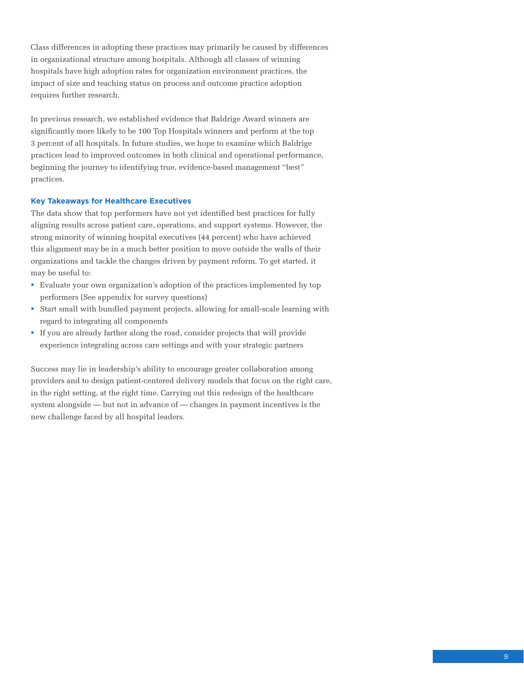Class differences in adopting these practices may primarily be caused by differences in organizational structure among hospitals. Although all classes of winning hospitals have high adoption rates for organization environment practices, the impact of size and teaching status on process and outcome practice adoption requires further research.

In previous research, we established evidence that Baldrige Award winners are significantly more likely to be 100 Top Hospitals winners and perform at the top 3 percent of all hospitals. In future studies, we hope to examine which Baldrige practices lead to improved outcomes in both clinical and operational performance, beginning the journey to identifying true, evidence-based management "best" practices.

#### **Key Takeaways for Healthcare Executives**

The data show that top performers have not yet identified best practices for fully aligning results across patient care, operations, and support systems. However, the strong minority of winning hospital executives (44 percent) who have achieved this alignment may be in a much better position to move outside the walls of their organizations and tackle the changes driven by payment reform. To get started, it may be useful to:

- § Evaluate your own organization's adoption of the practices implemented by top performers (See appendix for survey questions)
- § Start small with bundled payment projects, allowing for small-scale learning with regard to integrating all components
- § If you are already farther along the road, consider projects that will provide experience integrating across care settings and with your strategic partners

Success may lie in leadership's ability to encourage greater collaboration among providers and to design patient-centered delivery models that focus on the right care, in the right setting, at the right time. Carrying out this redesign of the healthcare system alongside — but not in advance of — changes in payment incentives is the new challenge faced by all hospital leaders.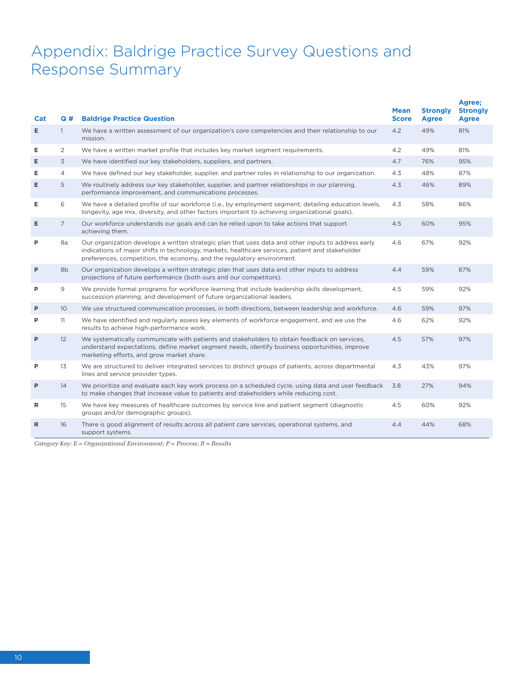# Appendix: Baldrige Practice Survey Questions and Response Summary

| Cat          | Q#             | <b>Baldrige Practice Question</b>                                                                                                                                                                                                                                                 | <b>Mean</b><br><b>Score</b> | <b>Strongly</b><br><b>Agree</b> | Agree;<br><b>Strongly</b><br><b>Agree</b> |
|--------------|----------------|-----------------------------------------------------------------------------------------------------------------------------------------------------------------------------------------------------------------------------------------------------------------------------------|-----------------------------|---------------------------------|-------------------------------------------|
| E.           | $\mathbf{1}$   | We have a written assessment of our organization's core competencies and their relationship to our<br>mission.                                                                                                                                                                    | 4.2                         | 49%                             | 81%                                       |
| Е            | 2              | We have a written market profile that includes key market segment requirements.                                                                                                                                                                                                   | 4.2                         | 49%                             | 81%                                       |
| Е            | 3              | We have identified our key stakeholders, suppliers, and partners.                                                                                                                                                                                                                 | 4.7                         | 76%                             | 95%                                       |
| Е            | $\overline{4}$ | We have defined our key stakeholder, supplier, and partner roles in relationship to our organization.                                                                                                                                                                             | 4.3                         | 48%                             | 87%                                       |
| E            | 5              | We routinely address our key stakeholder, supplier, and partner relationships in our planning,<br>performance improvement, and communications processes.                                                                                                                          | 4.3                         | 46%                             | 89%                                       |
| Е            | 6              | We have a detailed profile of our workforce (i.e., by employment segment, detailing education levels,<br>longevity, age mix, diversity, and other factors important to achieving organizational goals).                                                                           | 4.3                         | 58%                             | 86%                                       |
| Е            | $\overline{7}$ | Our workforce understands our goals and can be relied upon to take actions that support<br>achieving them.                                                                                                                                                                        | 4.5                         | 60%                             | 95%                                       |
| P            | 8a             | Our organization develops a written strategic plan that uses data and other inputs to address early<br>indications of major shifts in technology, markets, healthcare services, patient and stakeholder<br>preferences, competition, the economy, and the regulatory environment. | 4.6                         | 67%                             | 92%                                       |
| P            | 8b             | Our organization develops a written strategic plan that uses data and other inputs to address<br>projections of future performance (both ours and our competitors).                                                                                                               | 4.4                         | 59%                             | 87%                                       |
| P            | 9              | We provide formal programs for workforce learning that include leadership skills development,<br>succession planning, and development of future organizational leaders.                                                                                                           | 4.5                         | 59%                             | 92%                                       |
| P            | 10             | We use structured communication processes, in both directions, between leadership and workforce.                                                                                                                                                                                  | 4.6                         | 59%                             | 97%                                       |
| P            | 11             | We have identified and regularly assess key elements of workforce engagement, and we use the<br>results to achieve high-performance work.                                                                                                                                         | 4.6                         | 62%                             | 92%                                       |
| P            | 12             | We systematically communicate with patients and stakeholders to obtain feedback on services,<br>understand expectations, define market segment needs, identify business opportunities, improve<br>marketing efforts, and grow market share.                                       | 4.5                         | 57%                             | 97%                                       |
| P            | 13             | We are structured to deliver integrated services to distinct groups of patients, across departmental<br>lines and service provider types.                                                                                                                                         | 4.3                         | 43%                             | 97%                                       |
| P            | 14             | We prioritize and evaluate each key work process on a scheduled cycle, using data and user feedback<br>to make changes that increase value to patients and stakeholders while reducing cost.                                                                                      | 3.8                         | 27%                             | 94%                                       |
| R            | 15             | We have key measures of healthcare outcomes by service line and patient segment (diagnostic<br>groups and/or demographic groups).                                                                                                                                                 | 4.5                         | 60%                             | 92%                                       |
| $\mathsf{R}$ | 16             | There is good alignment of results across all patient care services, operational systems, and<br>support systems.                                                                                                                                                                 | 4.4                         | 44%                             | 68%                                       |

*Category Key: E = Organizational Environment; P = Process; R = Results*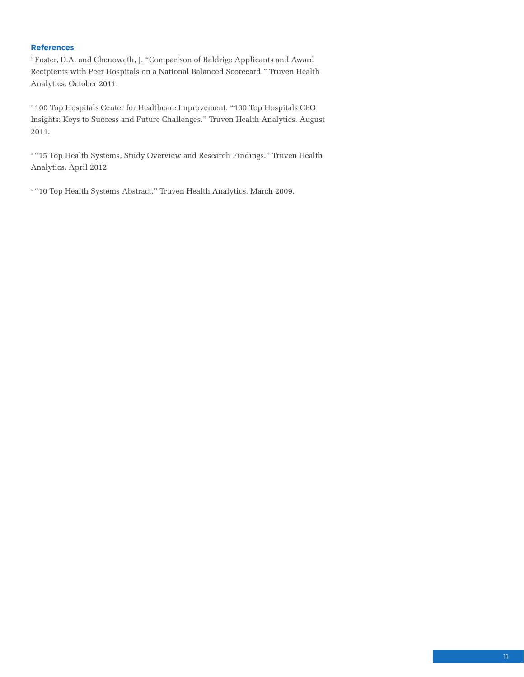# **References**

1 Foster, D.A. and Chenoweth, J. "Comparison of Baldrige Applicants and Award Recipients with Peer Hospitals on a National Balanced Scorecard." Truven Health Analytics. October 2011.

2 100 Top Hospitals Center for Healthcare Improvement. "100 Top Hospitals CEO Insights: Keys to Success and Future Challenges." Truven Health Analytics. August 2011.

3 "15 Top Health Systems, Study Overview and Research Findings." Truven Health Analytics. April 2012

4 "10 Top Health Systems Abstract." Truven Health Analytics. March 2009.